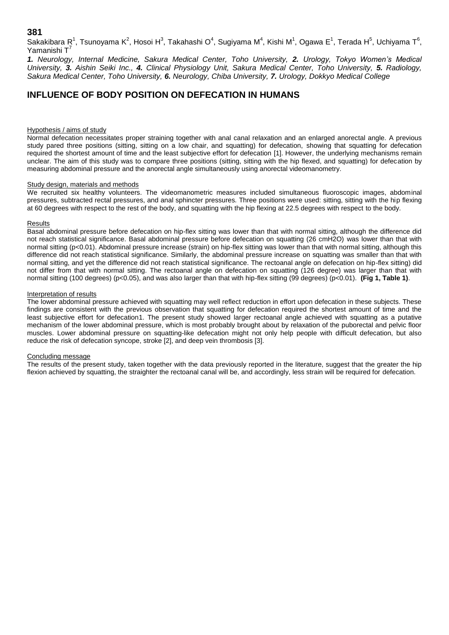**381**

Sakakibara R<sup>1</sup>, Tsunoyama K<sup>2</sup>, Hosoi H<sup>3</sup>, Takahashi O<sup>4</sup>, Sugiyama M<sup>4</sup>, Kishi M<sup>1</sup>, Ogawa E<sup>1</sup>, Terada H<sup>5</sup>, Uchiyama T<sup>6</sup>, Yamanishi T

*1. Neurology, Internal Medicine, Sakura Medical Center, Toho University, 2. Urology, Tokyo Women's Medical University, 3. Aishin Seiki Inc., 4. Clinical Physiology Unit, Sakura Medical Center, Toho University, 5. Radiology, Sakura Medical Center, Toho University, 6. Neurology, Chiba University, 7. Urology, Dokkyo Medical College*

# **INFLUENCE OF BODY POSITION ON DEFECATION IN HUMANS**

# Hypothesis / aims of study

Normal defecation necessitates proper straining together with anal canal relaxation and an enlarged anorectal angle. A previous study pared three positions (sitting, sitting on a low chair, and squatting) for defecation, showing that squatting for defecation required the shortest amount of time and the least subjective effort for defecation [1]. However, the underlying mechanisms remain unclear. The aim of this study was to compare three positions (sitting, sitting with the hip flexed, and squatting) for defecation by measuring abdominal pressure and the anorectal angle simultaneously using anorectal videomanometry.

#### Study design, materials and methods

We recruited six healthy volunteers. The videomanometric measures included simultaneous fluoroscopic images, abdominal pressures, subtracted rectal pressures, and anal sphincter pressures. Three positions were used: sitting, sitting with the hip flexing at 60 degrees with respect to the rest of the body, and squatting with the hip flexing at 22.5 degrees with respect to the body.

## Results

Basal abdominal pressure before defecation on hip-flex sitting was lower than that with normal sitting, although the difference did not reach statistical significance. Basal abdominal pressure before defecation on squatting (26 cmH2O) was lower than that with normal sitting (p<0.01). Abdominal pressure increase (strain) on hip-flex sitting was lower than that with normal sitting, although this difference did not reach statistical significance. Similarly, the abdominal pressure increase on squatting was smaller than that with normal sitting, and yet the difference did not reach statistical significance. The rectoanal angle on defecation on hip-flex sitting) did not differ from that with normal sitting. The rectoanal angle on defecation on squatting (126 degree) was larger than that with normal sitting (100 degrees) (p<0.05), and was also larger than that with hip-flex sitting (99 degrees) (p<0.01). **(Fig 1, Table 1)**.

## Interpretation of results

The lower abdominal pressure achieved with squatting may well reflect reduction in effort upon defecation in these subjects. These findings are consistent with the previous observation that squatting for defecation required the shortest amount of time and the least subjective effort for defecation1. The present study showed larger rectoanal angle achieved with squatting as a putative mechanism of the lower abdominal pressure, which is most probably brought about by relaxation of the puborectal and pelvic floor muscles. Lower abdominal pressure on squatting-like defecation might not only help people with difficult defecation, but also reduce the risk of defecation syncope, stroke [2], and deep vein thrombosis [3].

# Concluding message

The results of the present study, taken together with the data previously reported in the literature, suggest that the greater the hip flexion achieved by squatting, the straighter the rectoanal canal will be, and accordingly, less strain will be required for defecation.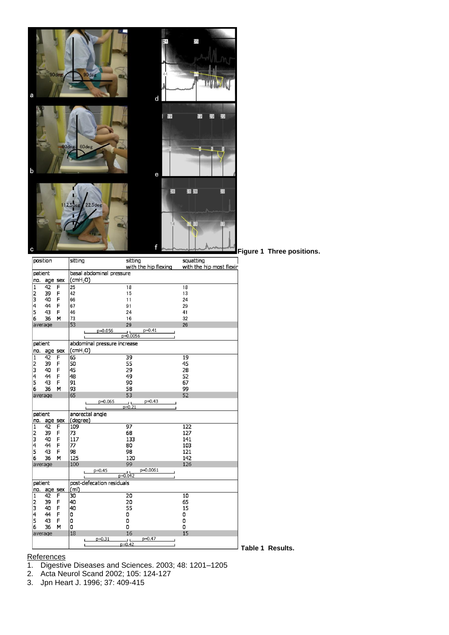

|                | position |        | sitting                     | sitting<br>with the hip flexing  | squatting<br>with the hip most flexir |                         |
|----------------|----------|--------|-----------------------------|----------------------------------|---------------------------------------|-------------------------|
| patient        |          |        | basal abdominal pressure    |                                  |                                       |                         |
| no.<br>age sex |          |        | (cmH <sub>2</sub> O)        |                                  |                                       |                         |
| $\mathbf{1}$   | 42       | F      | 25                          | 18                               | 18                                    |                         |
| 2              | 39       | F      | 42                          | 15                               | 13                                    |                         |
| 3              | 40       | F      | 66                          | 11                               | 24                                    |                         |
| 4              | 44       | F      | 67                          | 91                               | 29                                    |                         |
| 5              | 43       | F      | 46                          | 24                               | 41                                    |                         |
| 6              | 36       | M      | 73                          | 16                               | 32                                    |                         |
|                | average  |        | 53                          | 29                               | 26                                    |                         |
|                |          |        | p=0.056                     | $p=0.41$                         |                                       |                         |
|                |          |        |                             | $p=0.0056$                       |                                       |                         |
|                | patient  |        | abdominal pressure increase |                                  |                                       |                         |
| no.            | age sex  |        | $(\text{cmH}_2O)$           |                                  |                                       |                         |
| 1              | 42       | F      | 65                          | 39                               | 19                                    |                         |
| 2              | 39       | F      | 50                          | 55                               | 45                                    |                         |
| 3              | 40       | F      | 45                          | 29                               | 28                                    |                         |
| 4              | 44       | F      | 48                          | 49                               | 52                                    |                         |
| 5              | 43       | F      | 91                          | 90                               | 67                                    |                         |
| 6              | 36       | M      | 93                          | 58                               | 99                                    |                         |
|                | average  |        | 65                          | 53                               | 52                                    |                         |
|                |          |        | $p=0.065$                   | $p = 0.43$<br>$\frac{1}{p=0.21}$ |                                       |                         |
|                |          |        |                             |                                  |                                       |                         |
|                | patient  |        | anorectal angle             |                                  |                                       |                         |
| no.            | age sex  |        | (degree)                    |                                  |                                       |                         |
| $\mathbf{1}$   | 42       | F      | 109                         | $\overline{97}$                  | 122                                   |                         |
| 2              | 39       | F      | 73                          | 68                               | 127                                   |                         |
| 3              | 40       | F      | 117                         | 133                              | 141                                   |                         |
| 4              | 44       | F<br>F | 77                          | 80                               | 103                                   |                         |
| 5<br>6         | 43<br>36 |        | 98                          | 98                               | 121<br>142                            |                         |
|                |          | M      | 125<br>100                  | 120<br>99                        | 126                                   |                         |
|                | average  |        | $p = 0.45$                  | p=0.0061                         |                                       |                         |
|                |          |        |                             | $p=0.042$                        |                                       |                         |
| patient        |          |        | post-defecation residuals   |                                  |                                       |                         |
| no.            | age sex  |        | (m <sub>l</sub> )           |                                  |                                       |                         |
| $\mathbf{1}$   | 42       | F      | 30                          | 20                               | 10                                    |                         |
| 2              | 39       | F      | 40                          | 20                               | 65                                    |                         |
| 3              | 40       | F      | 40                          | 55                               | 15                                    |                         |
| 4              | 44       | F      | 0                           | 0                                | 0                                     |                         |
| 5              | 43       | F      | o                           | 0                                | 0                                     |                         |
| 6              | 36       | м      | 0                           | 0                                | 0                                     |                         |
|                | average  |        | 18                          | 16                               | 15                                    |                         |
|                |          |        | $p = 0.31$                  | $p=0.47$<br>J L<br>$p=0.42$      |                                       |                         |
|                |          |        |                             |                                  |                                       | <b>Table 1 Results.</b> |

**Figure 1 Three positions.**

#### References

1. Digestive Diseases and Sciences. 2003; 48: 1201–1205

- 2. Acta Neurol Scand 2002; 105: 124-127
- 3. Jpn Heart J. 1996; 37: 409-415